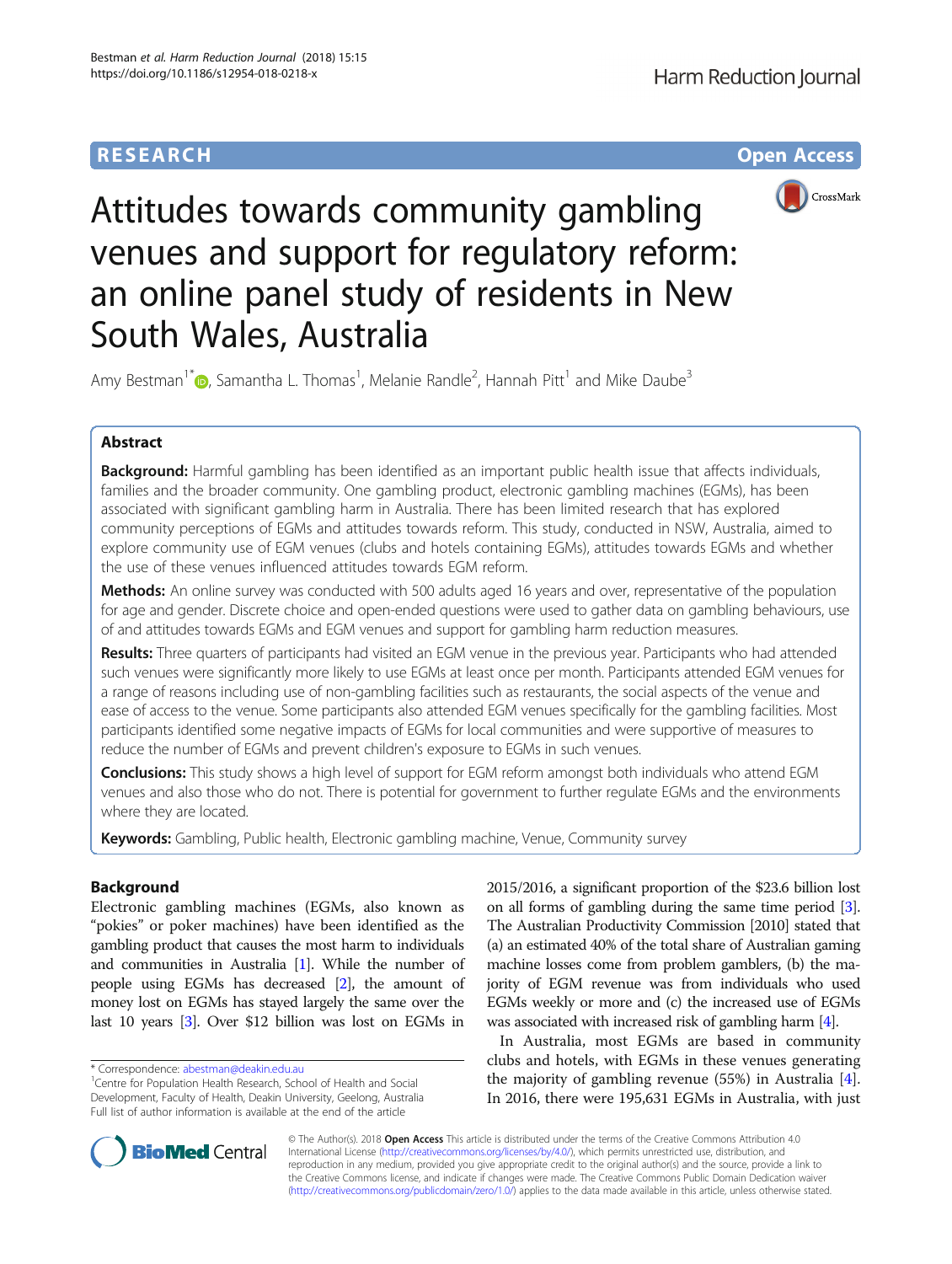# **RESEARCH CHE Open Access**



Attitudes towards community gambling venues and support for regulatory reform: an online panel study of residents in New South Wales, Australia

Amy Bestman<sup>1\*</sup> D[,](http://orcid.org/0000-0003-1269-2123) Samantha L. Thomas<sup>1</sup>, Melanie Randle<sup>2</sup>, Hannah Pitt<sup>1</sup> and Mike Daube<sup>3</sup>

## Abstract

Background: Harmful gambling has been identified as an important public health issue that affects individuals, families and the broader community. One gambling product, electronic gambling machines (EGMs), has been associated with significant gambling harm in Australia. There has been limited research that has explored community perceptions of EGMs and attitudes towards reform. This study, conducted in NSW, Australia, aimed to explore community use of EGM venues (clubs and hotels containing EGMs), attitudes towards EGMs and whether the use of these venues influenced attitudes towards EGM reform.

Methods: An online survey was conducted with 500 adults aged 16 years and over, representative of the population for age and gender. Discrete choice and open-ended questions were used to gather data on gambling behaviours, use of and attitudes towards EGMs and EGM venues and support for gambling harm reduction measures.

Results: Three quarters of participants had visited an EGM venue in the previous year. Participants who had attended such venues were significantly more likely to use EGMs at least once per month. Participants attended EGM venues for a range of reasons including use of non-gambling facilities such as restaurants, the social aspects of the venue and ease of access to the venue. Some participants also attended EGM venues specifically for the gambling facilities. Most participants identified some negative impacts of EGMs for local communities and were supportive of measures to reduce the number of EGMs and prevent children's exposure to EGMs in such venues.

**Conclusions:** This study shows a high level of support for EGM reform amongst both individuals who attend EGM venues and also those who do not. There is potential for government to further regulate EGMs and the environments where they are located.

Keywords: Gambling, Public health, Electronic gambling machine, Venue, Community survey

## Background

Electronic gambling machines (EGMs, also known as "pokies" or poker machines) have been identified as the gambling product that causes the most harm to individuals and communities in Australia [\[1\]](#page-8-0). While the number of people using EGMs has decreased [\[2](#page-8-0)], the amount of money lost on EGMs has stayed largely the same over the last 10 years [[3](#page-8-0)]. Over \$12 billion was lost on EGMs in

2015/2016, a significant proportion of the \$23.6 billion lost on all forms of gambling during the same time period [[3](#page-8-0)]. The Australian Productivity Commission [2010] stated that (a) an estimated 40% of the total share of Australian gaming machine losses come from problem gamblers, (b) the majority of EGM revenue was from individuals who used EGMs weekly or more and (c) the increased use of EGMs was associated with increased risk of gambling harm [\[4](#page-8-0)].

In Australia, most EGMs are based in community clubs and hotels, with EGMs in these venues generating the majority of gambling revenue (55%) in Australia [\[4](#page-8-0)]. In 2016, there were 195,631 EGMs in Australia, with just



© The Author(s). 2018 Open Access This article is distributed under the terms of the Creative Commons Attribution 4.0 International License [\(http://creativecommons.org/licenses/by/4.0/](http://creativecommons.org/licenses/by/4.0/)), which permits unrestricted use, distribution, and reproduction in any medium, provided you give appropriate credit to the original author(s) and the source, provide a link to the Creative Commons license, and indicate if changes were made. The Creative Commons Public Domain Dedication waiver [\(http://creativecommons.org/publicdomain/zero/1.0/](http://creativecommons.org/publicdomain/zero/1.0/)) applies to the data made available in this article, unless otherwise stated.

<sup>\*</sup> Correspondence: [abestman@deakin.edu.au](mailto:abestman@deakin.edu.au) <sup>1</sup>

Centre for Population Health Research, School of Health and Social Development, Faculty of Health, Deakin University, Geelong, Australia Full list of author information is available at the end of the article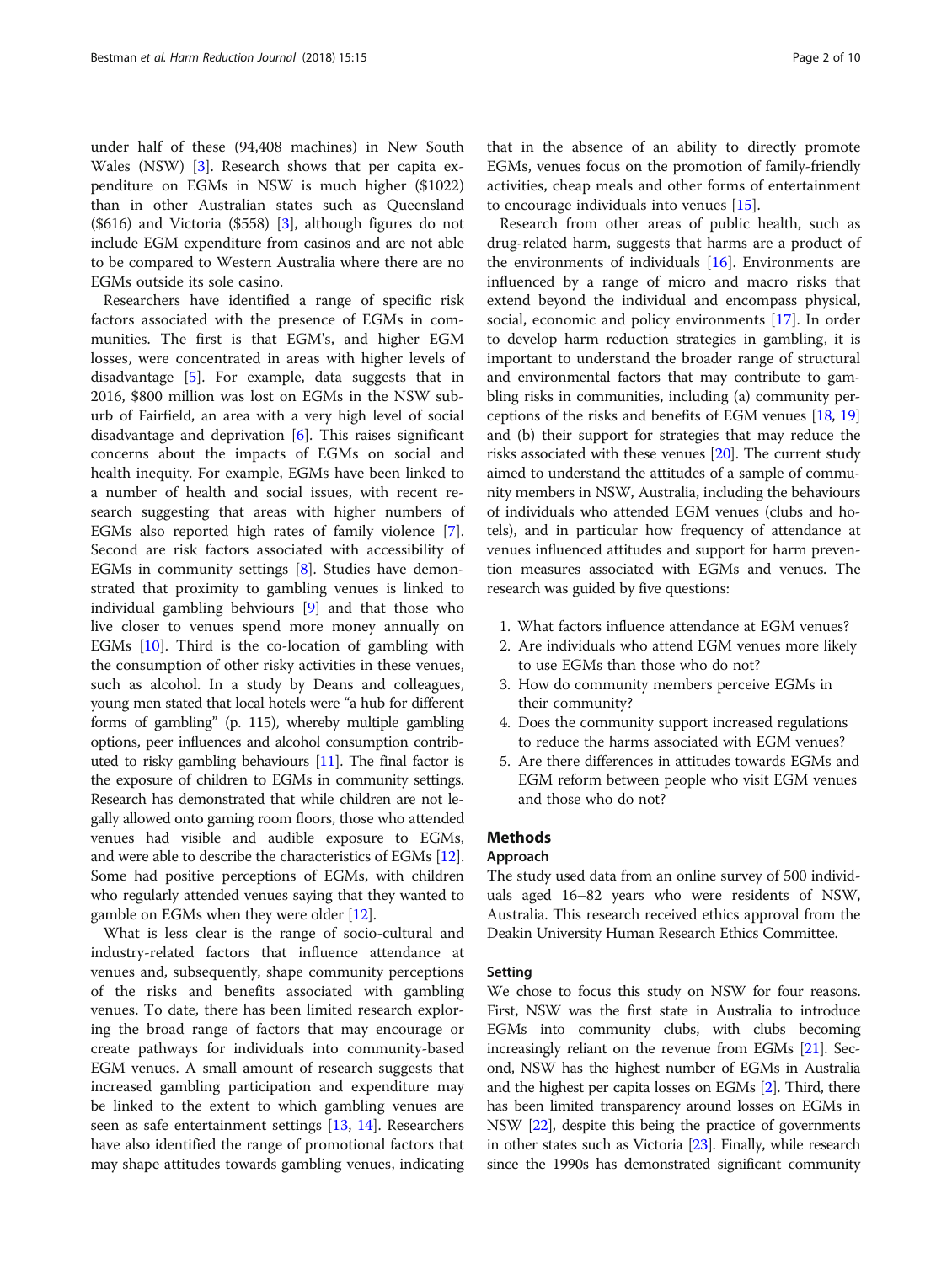under half of these (94,408 machines) in New South Wales (NSW) [[3](#page-8-0)]. Research shows that per capita expenditure on EGMs in NSW is much higher (\$1022) than in other Australian states such as Queensland (\$616) and Victoria (\$558) [\[3](#page-8-0)], although figures do not include EGM expenditure from casinos and are not able to be compared to Western Australia where there are no EGMs outside its sole casino.

Researchers have identified a range of specific risk factors associated with the presence of EGMs in communities. The first is that EGM's, and higher EGM losses, were concentrated in areas with higher levels of disadvantage [\[5](#page-8-0)]. For example, data suggests that in 2016, \$800 million was lost on EGMs in the NSW suburb of Fairfield, an area with a very high level of social disadvantage and deprivation [[6](#page-8-0)]. This raises significant concerns about the impacts of EGMs on social and health inequity. For example, EGMs have been linked to a number of health and social issues, with recent research suggesting that areas with higher numbers of EGMs also reported high rates of family violence [\[7](#page-8-0)]. Second are risk factors associated with accessibility of EGMs in community settings  $[8]$  $[8]$ . Studies have demonstrated that proximity to gambling venues is linked to individual gambling behviours [\[9](#page-8-0)] and that those who live closer to venues spend more money annually on EGMs [\[10](#page-8-0)]. Third is the co-location of gambling with the consumption of other risky activities in these venues, such as alcohol. In a study by Deans and colleagues, young men stated that local hotels were "a hub for different forms of gambling" (p. 115), whereby multiple gambling options, peer influences and alcohol consumption contributed to risky gambling behaviours [\[11\]](#page-8-0). The final factor is the exposure of children to EGMs in community settings. Research has demonstrated that while children are not legally allowed onto gaming room floors, those who attended venues had visible and audible exposure to EGMs, and were able to describe the characteristics of EGMs [[12](#page-8-0)]. Some had positive perceptions of EGMs, with children who regularly attended venues saying that they wanted to gamble on EGMs when they were older [[12](#page-8-0)].

What is less clear is the range of socio-cultural and industry-related factors that influence attendance at venues and, subsequently, shape community perceptions of the risks and benefits associated with gambling venues. To date, there has been limited research exploring the broad range of factors that may encourage or create pathways for individuals into community-based EGM venues. A small amount of research suggests that increased gambling participation and expenditure may be linked to the extent to which gambling venues are seen as safe entertainment settings [\[13,](#page-8-0) [14](#page-8-0)]. Researchers have also identified the range of promotional factors that may shape attitudes towards gambling venues, indicating

that in the absence of an ability to directly promote EGMs, venues focus on the promotion of family-friendly activities, cheap meals and other forms of entertainment to encourage individuals into venues [[15\]](#page-8-0).

Research from other areas of public health, such as drug-related harm, suggests that harms are a product of the environments of individuals [\[16](#page-8-0)]. Environments are influenced by a range of micro and macro risks that extend beyond the individual and encompass physical, social, economic and policy environments [[17](#page-8-0)]. In order to develop harm reduction strategies in gambling, it is important to understand the broader range of structural and environmental factors that may contribute to gambling risks in communities, including (a) community perceptions of the risks and benefits of EGM venues [[18,](#page-8-0) [19](#page-8-0)] and (b) their support for strategies that may reduce the risks associated with these venues [[20](#page-8-0)]. The current study aimed to understand the attitudes of a sample of community members in NSW, Australia, including the behaviours of individuals who attended EGM venues (clubs and hotels), and in particular how frequency of attendance at venues influenced attitudes and support for harm prevention measures associated with EGMs and venues. The research was guided by five questions:

- 1. What factors influence attendance at EGM venues?
- 2. Are individuals who attend EGM venues more likely to use EGMs than those who do not?
- 3. How do community members perceive EGMs in their community?
- 4. Does the community support increased regulations to reduce the harms associated with EGM venues?
- 5. Are there differences in attitudes towards EGMs and EGM reform between people who visit EGM venues and those who do not?

## Methods

## Approach

The study used data from an online survey of 500 individuals aged 16–82 years who were residents of NSW, Australia. This research received ethics approval from the Deakin University Human Research Ethics Committee.

#### Setting

We chose to focus this study on NSW for four reasons. First, NSW was the first state in Australia to introduce EGMs into community clubs, with clubs becoming increasingly reliant on the revenue from EGMs [\[21\]](#page-8-0). Second, NSW has the highest number of EGMs in Australia and the highest per capita losses on EGMs [[2](#page-8-0)]. Third, there has been limited transparency around losses on EGMs in NSW [\[22\]](#page-8-0), despite this being the practice of governments in other states such as Victoria [\[23\]](#page-8-0). Finally, while research since the 1990s has demonstrated significant community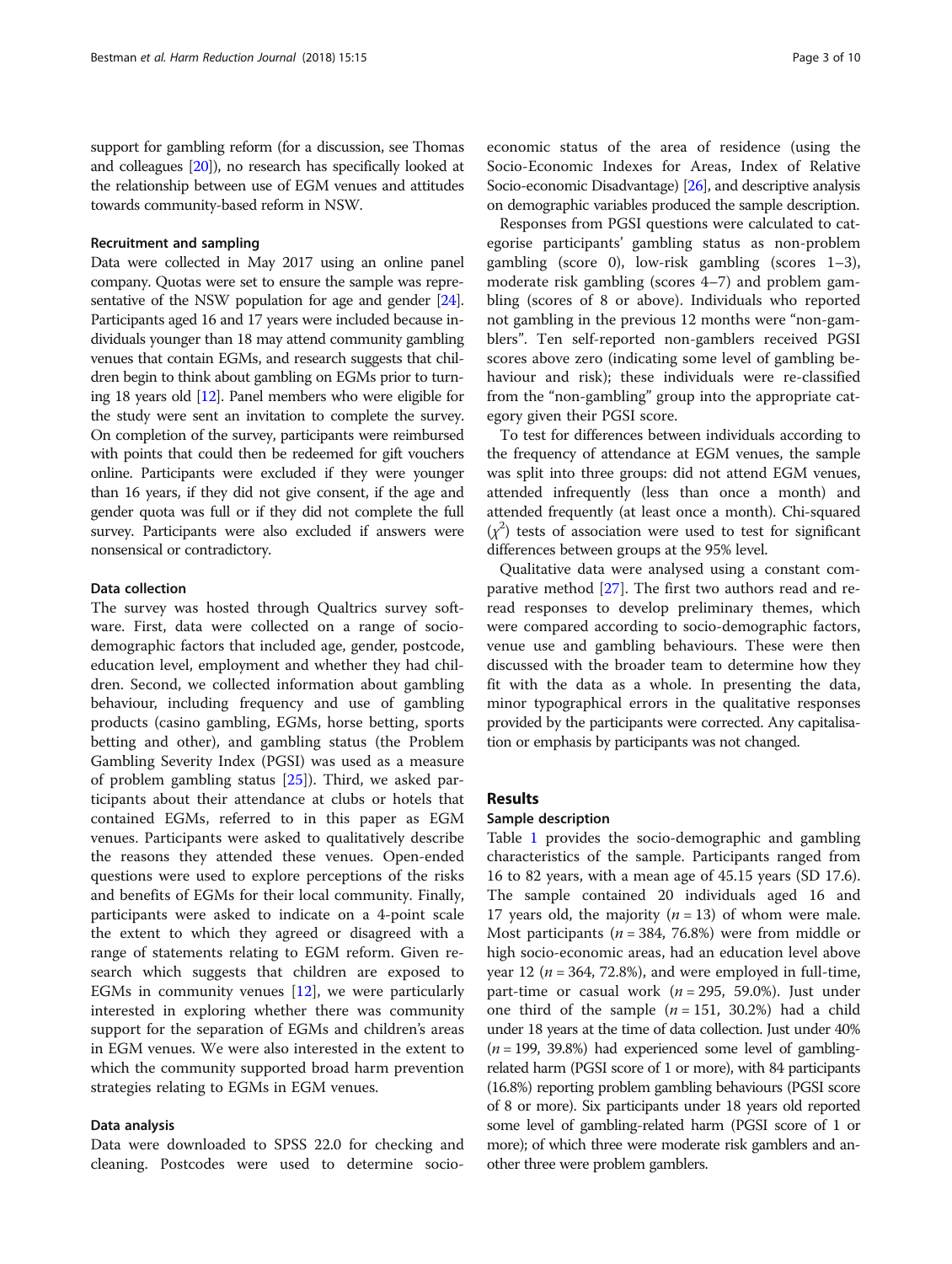support for gambling reform (for a discussion, see Thomas and colleagues [\[20](#page-8-0)]), no research has specifically looked at the relationship between use of EGM venues and attitudes towards community-based reform in NSW.

#### Recruitment and sampling

Data were collected in May 2017 using an online panel company. Quotas were set to ensure the sample was representative of the NSW population for age and gender [\[24](#page-8-0)]. Participants aged 16 and 17 years were included because individuals younger than 18 may attend community gambling venues that contain EGMs, and research suggests that children begin to think about gambling on EGMs prior to turning 18 years old [[12](#page-8-0)]. Panel members who were eligible for the study were sent an invitation to complete the survey. On completion of the survey, participants were reimbursed with points that could then be redeemed for gift vouchers online. Participants were excluded if they were younger than 16 years, if they did not give consent, if the age and gender quota was full or if they did not complete the full survey. Participants were also excluded if answers were nonsensical or contradictory.

#### Data collection

The survey was hosted through Qualtrics survey software. First, data were collected on a range of sociodemographic factors that included age, gender, postcode, education level, employment and whether they had children. Second, we collected information about gambling behaviour, including frequency and use of gambling products (casino gambling, EGMs, horse betting, sports betting and other), and gambling status (the Problem Gambling Severity Index (PGSI) was used as a measure of problem gambling status [[25\]](#page-8-0)). Third, we asked participants about their attendance at clubs or hotels that contained EGMs, referred to in this paper as EGM venues. Participants were asked to qualitatively describe the reasons they attended these venues. Open-ended questions were used to explore perceptions of the risks and benefits of EGMs for their local community. Finally, participants were asked to indicate on a 4-point scale the extent to which they agreed or disagreed with a range of statements relating to EGM reform. Given research which suggests that children are exposed to EGMs in community venues [\[12](#page-8-0)], we were particularly interested in exploring whether there was community support for the separation of EGMs and children's areas in EGM venues. We were also interested in the extent to which the community supported broad harm prevention strategies relating to EGMs in EGM venues.

### Data analysis

Data were downloaded to SPSS 22.0 for checking and cleaning. Postcodes were used to determine socioeconomic status of the area of residence (using the Socio-Economic Indexes for Areas, Index of Relative Socio-economic Disadvantage) [\[26\]](#page-8-0), and descriptive analysis on demographic variables produced the sample description.

Responses from PGSI questions were calculated to categorise participants' gambling status as non-problem gambling (score 0), low-risk gambling (scores 1–3), moderate risk gambling (scores 4–7) and problem gambling (scores of 8 or above). Individuals who reported not gambling in the previous 12 months were "non-gamblers". Ten self-reported non-gamblers received PGSI scores above zero (indicating some level of gambling behaviour and risk); these individuals were re-classified from the "non-gambling" group into the appropriate category given their PGSI score.

To test for differences between individuals according to the frequency of attendance at EGM venues, the sample was split into three groups: did not attend EGM venues, attended infrequently (less than once a month) and attended frequently (at least once a month). Chi-squared  $(\chi^2)$  tests of association were used to test for significant differences between groups at the 95% level.

Qualitative data were analysed using a constant comparative method [\[27\]](#page-8-0). The first two authors read and reread responses to develop preliminary themes, which were compared according to socio-demographic factors, venue use and gambling behaviours. These were then discussed with the broader team to determine how they fit with the data as a whole. In presenting the data, minor typographical errors in the qualitative responses provided by the participants were corrected. Any capitalisation or emphasis by participants was not changed.

#### Results

## Sample description

Table [1](#page-3-0) provides the socio-demographic and gambling characteristics of the sample. Participants ranged from 16 to 82 years, with a mean age of 45.15 years (SD 17.6). The sample contained 20 individuals aged 16 and 17 years old, the majority ( $n = 13$ ) of whom were male. Most participants ( $n = 384, 76.8%$ ) were from middle or high socio-economic areas, had an education level above year 12 ( $n = 364$ , 72.8%), and were employed in full-time, part-time or casual work ( $n = 295$ , 59.0%). Just under one third of the sample  $(n = 151, 30.2%)$  had a child under 18 years at the time of data collection. Just under 40%  $(n = 199, 39.8%)$  had experienced some level of gamblingrelated harm (PGSI score of 1 or more), with 84 participants (16.8%) reporting problem gambling behaviours (PGSI score of 8 or more). Six participants under 18 years old reported some level of gambling-related harm (PGSI score of 1 or more); of which three were moderate risk gamblers and another three were problem gamblers.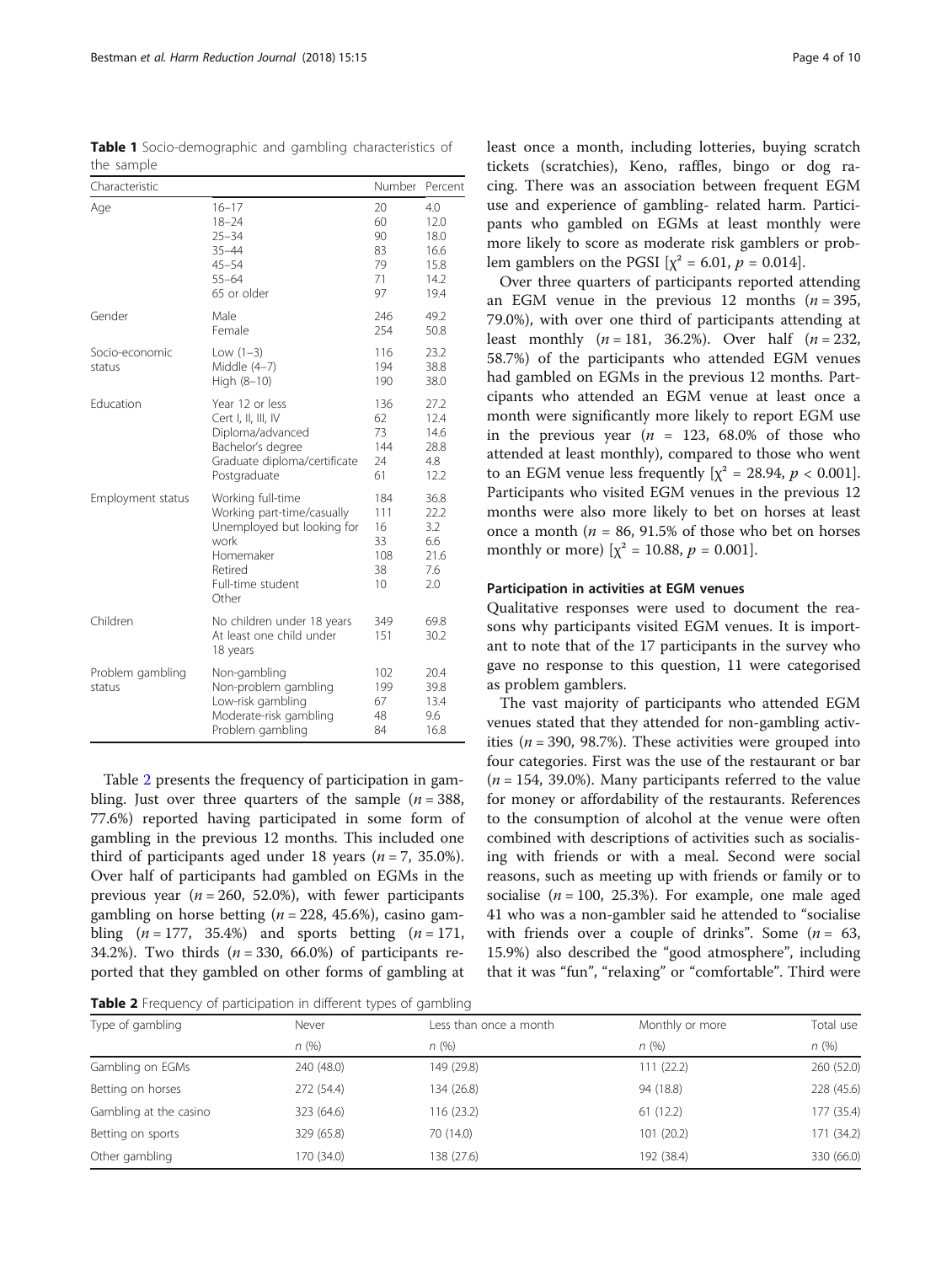Table 2 presents the frequency of participation in gambling. Just over three quarters of the sample  $(n = 388,$ 77.6%) reported having participated in some form of gambling in the previous 12 months. This included one third of participants aged under 18 years ( $n = 7$ , 35.0%). Over half of participants had gambled on EGMs in the previous year ( $n = 260, 52.0\%$ ), with fewer participants gambling on horse betting ( $n = 228$ , 45.6%), casino gambling  $(n = 177, 35.4\%)$  and sports betting  $(n = 171,$ 34.2%). Two thirds  $(n = 330, 66.0\%)$  of participants reported that they gambled on other forms of gambling at

Table 2 Frequency of participation in different types of gambling

least once a month, including lotteries, buying scratch tickets (scratchies), Keno, raffles, bingo or dog racing. There was an association between frequent EGM use and experience of gambling- related harm. Participants who gambled on EGMs at least monthly were more likely to score as moderate risk gamblers or problem gamblers on the PGSI  $[\chi^2 = 6.01, p = 0.014]$ .

Over three quarters of participants reported attending an EGM venue in the previous 12 months ( $n = 395$ , 79.0%), with over one third of participants attending at least monthly  $(n = 181, 36.2\%)$ . Over half  $(n = 232,$ 58.7%) of the participants who attended EGM venues had gambled on EGMs in the previous 12 months. Partcipants who attended an EGM venue at least once a month were significantly more likely to report EGM use in the previous year ( $n = 123, 68.0\%$  of those who attended at least monthly), compared to those who went to an EGM venue less frequently  $[\chi^2 = 28.94, p < 0.001]$ . Participants who visited EGM venues in the previous 12 months were also more likely to bet on horses at least once a month ( $n = 86, 91.5\%$  of those who bet on horses monthly or more)  $[\chi^2 = 10.88, p = 0.001]$ .

#### Participation in activities at EGM venues

Qualitative responses were used to document the reasons why participants visited EGM venues. It is important to note that of the 17 participants in the survey who gave no response to this question, 11 were categorised as problem gamblers.

The vast majority of participants who attended EGM venues stated that they attended for non-gambling activities ( $n = 390, 98.7\%$ ). These activities were grouped into four categories. First was the use of the restaurant or bar  $(n = 154, 39.0\%)$ . Many participants referred to the value for money or affordability of the restaurants. References to the consumption of alcohol at the venue were often combined with descriptions of activities such as socialising with friends or with a meal. Second were social reasons, such as meeting up with friends or family or to socialise ( $n = 100, 25.3\%$ ). For example, one male aged 41 who was a non-gambler said he attended to "socialise with friends over a couple of drinks". Some  $(n = 63,$ 15.9%) also described the "good atmosphere", including that it was "fun", "relaxing" or "comfortable". Third were

| Type of gambling       | Never      | Less than once a month | Monthly or more | Total use  |
|------------------------|------------|------------------------|-----------------|------------|
|                        | n(%)       | n(%)                   | n(%)            | n(%)       |
| Gambling on EGMs       | 240 (48.0) | 149 (29.8)             | 111 (22.2)      | 260 (52.0) |
| Betting on horses      | 272 (54.4) | 134 (26.8)             | 94 (18.8)       | 228 (45.6) |
| Gambling at the casino | 323 (64.6) | 116(23.2)              | 61(12.2)        | 177 (35.4) |
| Betting on sports      | 329 (65.8) | 70 (14.0)              | 101 (20.2)      | 171 (34.2) |
| Other gambling         | 170 (34.0) | 138 (27.6)             | 192 (38.4)      | 330 (66.0) |

Table 1 Socio-demographic and gambling characteristics of the sample Characteristic **Number Percent** 

<span id="page-3-0"></span>

|  |  | Bestman et al. Harm Reduction Journal (2018) 15:15 |  |
|--|--|----------------------------------------------------|--|
|--|--|----------------------------------------------------|--|

| Age                        | $16 - 17$<br>$18 - 24$<br>$25 - 34$<br>$35 - 44$<br>$45 - 54$<br>$55 - 64$<br>65 or older                                                   | 20<br>60<br>90<br>83<br>79<br>71<br>97    | 4.0<br>12.0<br>18.0<br>16.6<br>15.8<br>14.2<br>19.4 |
|----------------------------|---------------------------------------------------------------------------------------------------------------------------------------------|-------------------------------------------|-----------------------------------------------------|
| Gender                     | Male<br>Female                                                                                                                              | 246<br>254                                | 49.2<br>50.8                                        |
| Socio-economic<br>status   | Low $(1-3)$<br>Middle (4-7)<br>High (8–10)                                                                                                  | 116<br>194<br>190                         | 23.2<br>38.8<br>38.0                                |
| Education                  | Year 12 or less<br>Cert I, II, III, IV<br>Diploma/advanced<br>Bachelor's degree<br>Graduate diploma/certificate<br>Postgraduate             | 136<br>62<br>73<br>144<br>24<br>61        | 27.2<br>12.4<br>14.6<br>28.8<br>4.8<br>12.2         |
| Employment status          | Working full-time<br>Working part-time/casually<br>Unemployed but looking for<br>work<br>Homemaker<br>Retired<br>Full-time student<br>Other | 184<br>111<br>16<br>33<br>108<br>38<br>10 | 36.8<br>22.2<br>3.2<br>6.6<br>21.6<br>7.6<br>2.0    |
| Children                   | No children under 18 years<br>At least one child under<br>18 years                                                                          | 349<br>151                                | 69.8<br>30.2                                        |
| Problem gambling<br>status | Non-gambling<br>Non-problem gambling<br>Low-risk gambling<br>Moderate-risk gambling<br>Problem gambling                                     | 102<br>199<br>67<br>48<br>84              | 20.4<br>39.8<br>13.4<br>9.6<br>16.8                 |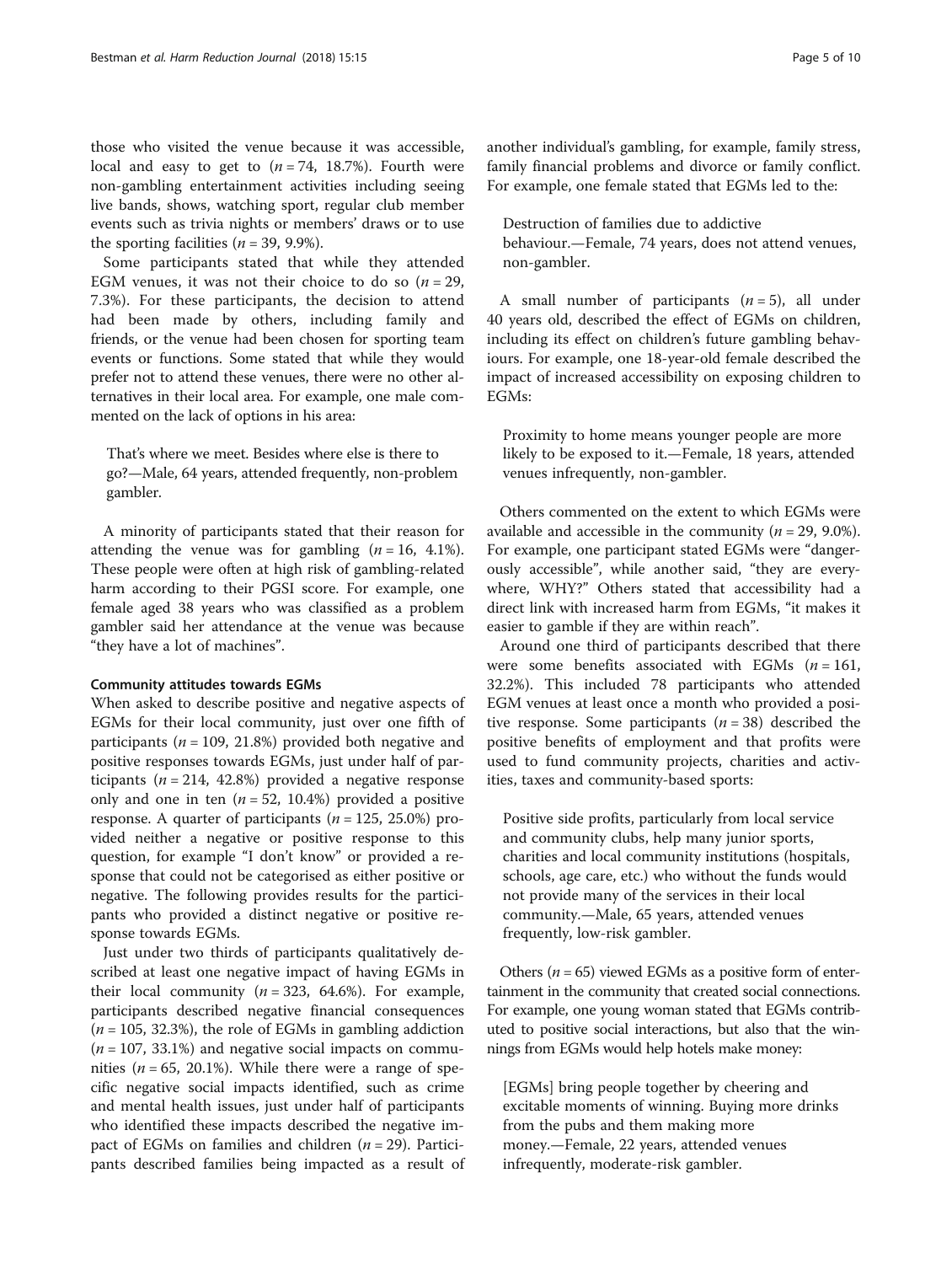those who visited the venue because it was accessible, local and easy to get to  $(n = 74, 18.7%)$ . Fourth were non-gambling entertainment activities including seeing live bands, shows, watching sport, regular club member events such as trivia nights or members' draws or to use the sporting facilities ( $n = 39, 9.9\%$ ).

Some participants stated that while they attended EGM venues, it was not their choice to do so  $(n = 29,$ 7.3%). For these participants, the decision to attend had been made by others, including family and friends, or the venue had been chosen for sporting team events or functions. Some stated that while they would prefer not to attend these venues, there were no other alternatives in their local area. For example, one male commented on the lack of options in his area:

That's where we meet. Besides where else is there to go?—Male, 64 years, attended frequently, non-problem gambler.

A minority of participants stated that their reason for attending the venue was for gambling  $(n = 16, 4.1\%)$ . These people were often at high risk of gambling-related harm according to their PGSI score. For example, one female aged 38 years who was classified as a problem gambler said her attendance at the venue was because "they have a lot of machines".

#### Community attitudes towards EGMs

When asked to describe positive and negative aspects of EGMs for their local community, just over one fifth of participants ( $n = 109, 21.8\%$ ) provided both negative and positive responses towards EGMs, just under half of participants ( $n = 214$ , 42.8%) provided a negative response only and one in ten  $(n = 52, 10.4%)$  provided a positive response. A quarter of participants ( $n = 125, 25.0\%$ ) provided neither a negative or positive response to this question, for example "I don't know" or provided a response that could not be categorised as either positive or negative. The following provides results for the participants who provided a distinct negative or positive response towards EGMs.

Just under two thirds of participants qualitatively described at least one negative impact of having EGMs in their local community ( $n = 323$ , 64.6%). For example, participants described negative financial consequences  $(n = 105, 32.3\%)$ , the role of EGMs in gambling addiction  $(n = 107, 33.1\%)$  and negative social impacts on communities ( $n = 65$ , 20.1%). While there were a range of specific negative social impacts identified, such as crime and mental health issues, just under half of participants who identified these impacts described the negative impact of EGMs on families and children  $(n = 29)$ . Participants described families being impacted as a result of another individual's gambling, for example, family stress, family financial problems and divorce or family conflict. For example, one female stated that EGMs led to the:

Destruction of families due to addictive behaviour.—Female, 74 years, does not attend venues, non-gambler.

A small number of participants  $(n = 5)$ , all under 40 years old, described the effect of EGMs on children, including its effect on children's future gambling behaviours. For example, one 18-year-old female described the impact of increased accessibility on exposing children to EGMs:

Proximity to home means younger people are more likely to be exposed to it.—Female, 18 years, attended venues infrequently, non-gambler.

Others commented on the extent to which EGMs were available and accessible in the community ( $n = 29, 9.0\%$ ). For example, one participant stated EGMs were "dangerously accessible", while another said, "they are everywhere, WHY?" Others stated that accessibility had a direct link with increased harm from EGMs, "it makes it easier to gamble if they are within reach".

Around one third of participants described that there were some benefits associated with EGMs  $(n = 161,$ 32.2%). This included 78 participants who attended EGM venues at least once a month who provided a positive response. Some participants  $(n = 38)$  described the positive benefits of employment and that profits were used to fund community projects, charities and activities, taxes and community-based sports:

Positive side profits, particularly from local service and community clubs, help many junior sports, charities and local community institutions (hospitals, schools, age care, etc.) who without the funds would not provide many of the services in their local community.—Male, 65 years, attended venues frequently, low-risk gambler.

Others ( $n = 65$ ) viewed EGMs as a positive form of entertainment in the community that created social connections. For example, one young woman stated that EGMs contributed to positive social interactions, but also that the winnings from EGMs would help hotels make money:

[EGMs] bring people together by cheering and excitable moments of winning. Buying more drinks from the pubs and them making more money.—Female, 22 years, attended venues infrequently, moderate-risk gambler.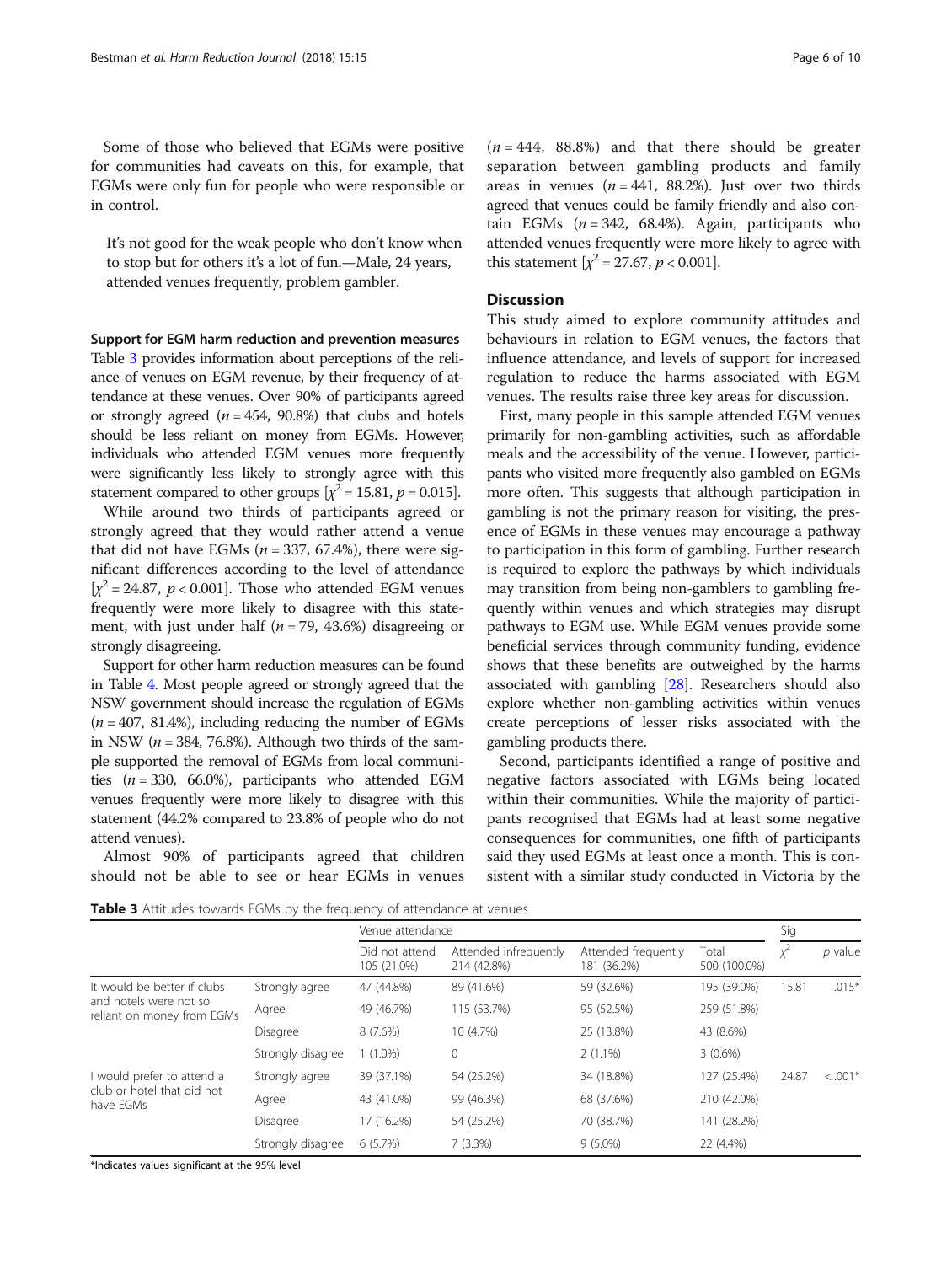Some of those who believed that EGMs were positive for communities had caveats on this, for example, that EGMs were only fun for people who were responsible or in control.

It's not good for the weak people who don't know when to stop but for others it's a lot of fun.—Male, 24 years, attended venues frequently, problem gambler.

Support for EGM harm reduction and prevention measures Table 3 provides information about perceptions of the reliance of venues on EGM revenue, by their frequency of attendance at these venues. Over 90% of participants agreed or strongly agreed ( $n = 454$ , 90.8%) that clubs and hotels should be less reliant on money from EGMs. However, individuals who attended EGM venues more frequently were significantly less likely to strongly agree with this statement compared to other groups  $[\chi^2 = 15.81, p = 0.015]$ .

While around two thirds of participants agreed or strongly agreed that they would rather attend a venue that did not have EGMs ( $n = 337, 67.4\%$ ), there were significant differences according to the level of attendance  $[\chi^2 = 24.87, p < 0.001]$ . Those who attended EGM venues frequently were more likely to disagree with this statement, with just under half ( $n = 79$ , 43.6%) disagreeing or strongly disagreeing.

Support for other harm reduction measures can be found in Table [4.](#page-6-0) Most people agreed or strongly agreed that the NSW government should increase the regulation of EGMs  $(n = 407, 81.4\%)$ , including reducing the number of EGMs in NSW ( $n = 384, 76.8\%$ ). Although two thirds of the sample supported the removal of EGMs from local communities  $(n = 330, 66.0\%)$ , participants who attended EGM venues frequently were more likely to disagree with this statement (44.2% compared to 23.8% of people who do not attend venues).

Almost 90% of participants agreed that children should not be able to see or hear EGMs in venues

 $(n = 444, 88.8%)$  and that there should be greater separation between gambling products and family areas in venues ( $n = 441$ , 88.2%). Just over two thirds agreed that venues could be family friendly and also contain EGMs  $(n = 342, 68.4\%)$ . Again, participants who attended venues frequently were more likely to agree with this statement  $[\chi^2 = 27.67, p < 0.001]$ .

## **Discussion**

This study aimed to explore community attitudes and behaviours in relation to EGM venues, the factors that influence attendance, and levels of support for increased regulation to reduce the harms associated with EGM venues. The results raise three key areas for discussion.

First, many people in this sample attended EGM venues primarily for non-gambling activities, such as affordable meals and the accessibility of the venue. However, participants who visited more frequently also gambled on EGMs more often. This suggests that although participation in gambling is not the primary reason for visiting, the presence of EGMs in these venues may encourage a pathway to participation in this form of gambling. Further research is required to explore the pathways by which individuals may transition from being non-gamblers to gambling frequently within venues and which strategies may disrupt pathways to EGM use. While EGM venues provide some beneficial services through community funding, evidence shows that these benefits are outweighed by the harms associated with gambling [\[28](#page-8-0)]. Researchers should also explore whether non-gambling activities within venues create perceptions of lesser risks associated with the gambling products there.

Second, participants identified a range of positive and negative factors associated with EGMs being located within their communities. While the majority of participants recognised that EGMs had at least some negative consequences for communities, one fifth of participants said they used EGMs at least once a month. This is consistent with a similar study conducted in Victoria by the

Table 3 Attitudes towards EGMs by the frequency of attendance at venues

|                                                                                     |                   | Venue attendance              |                                      |                                    | Sig                   |       |            |
|-------------------------------------------------------------------------------------|-------------------|-------------------------------|--------------------------------------|------------------------------------|-----------------------|-------|------------|
|                                                                                     |                   | Did not attend<br>105 (21.0%) | Attended infrequently<br>214 (42.8%) | Attended frequently<br>181 (36.2%) | Total<br>500 (100.0%) | Χ     | $p$ value  |
| It would be better if clubs<br>and hotels were not so<br>reliant on money from EGMs | Strongly agree    | 47 (44.8%)                    | 89 (41.6%)                           | 59 (32.6%)                         | 195 (39.0%)           | 15.81 | $.015*$    |
|                                                                                     | Agree             | 49 (46.7%)                    | 115 (53.7%)                          | 95 (52.5%)                         | 259 (51.8%)           |       |            |
|                                                                                     | Disagree          | $8(7.6\%)$                    | 10 (4.7%)                            | 25 (13.8%)                         | 43 (8.6%)             |       |            |
|                                                                                     | Strongly disagree | $1(1.0\%)$                    | $\Omega$                             | $2(1.1\%)$                         | $3(0.6\%)$            |       |            |
| I would prefer to attend a<br>club or hotel that did not<br>have EGMs               | Strongly agree    | 39 (37.1%)                    | 54 (25.2%)                           | 34 (18.8%)                         | 127 (25.4%)           | 24.87 | $< 0.001*$ |
|                                                                                     | Agree             | 43 (41.0%)                    | 99 (46.3%)                           | 68 (37.6%)                         | 210 (42.0%)           |       |            |
|                                                                                     | Disagree          | 17 (16.2%)                    | 54 (25.2%)                           | 70 (38.7%)                         | 141 (28.2%)           |       |            |
|                                                                                     | Strongly disagree | 6(5.7%)                       | 7(3.3%)                              | $9(5.0\%)$                         | 22 (4.4%)             |       |            |

\*Indicates values significant at the 95% level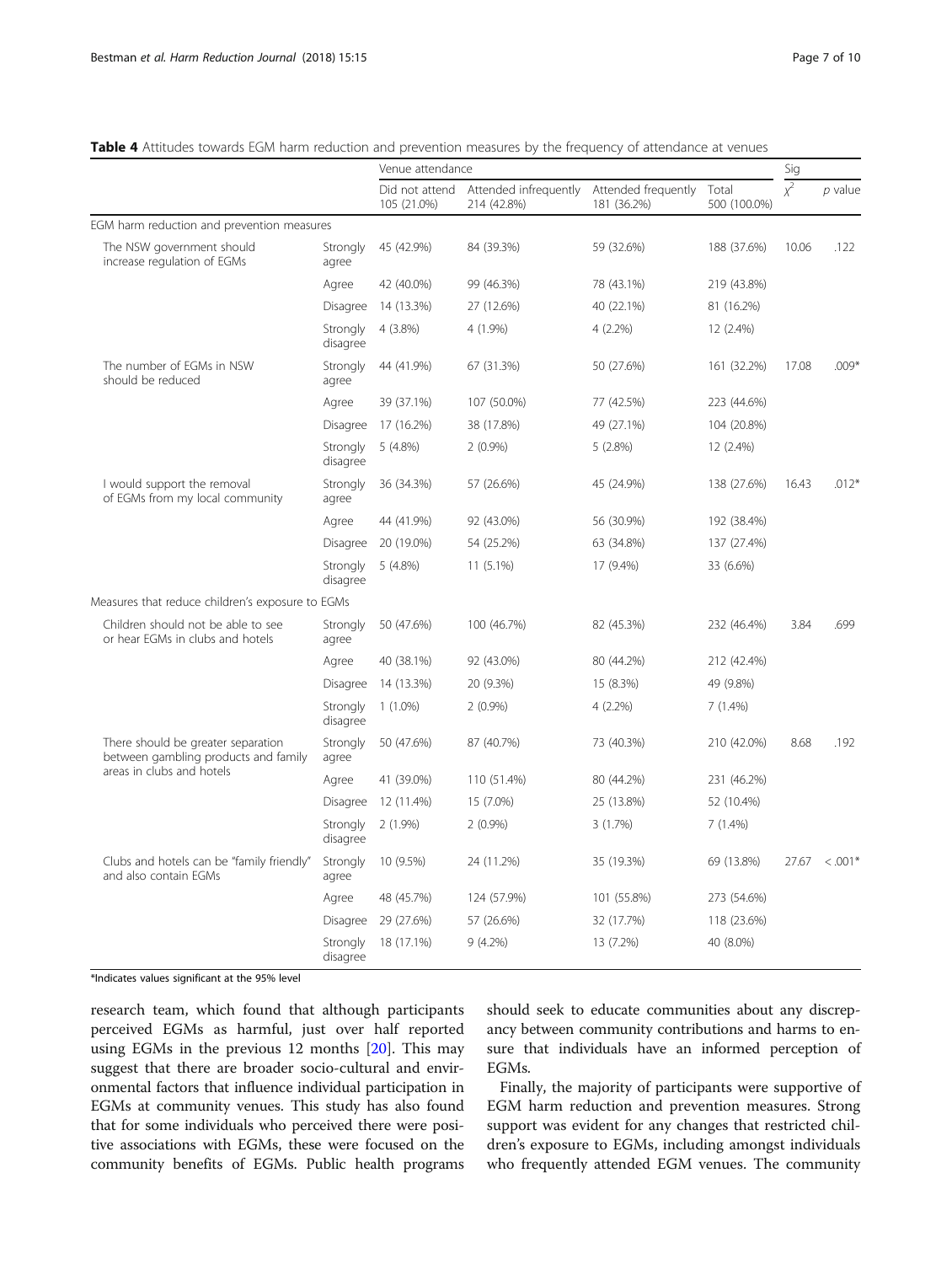<span id="page-6-0"></span>Table 4 Attitudes towards EGM harm reduction and prevention measures by the frequency of attendance at venues

|                                                                            |                      | Venue attendance              |                                      |                                    | Sig                   |                  |                 |
|----------------------------------------------------------------------------|----------------------|-------------------------------|--------------------------------------|------------------------------------|-----------------------|------------------|-----------------|
|                                                                            |                      | Did not attend<br>105 (21.0%) | Attended infrequently<br>214 (42.8%) | Attended frequently<br>181 (36.2%) | Total<br>500 (100.0%) | $\overline{x^2}$ | $p$ value       |
| EGM harm reduction and prevention measures                                 |                      |                               |                                      |                                    |                       |                  |                 |
| The NSW government should<br>increase regulation of EGMs                   | Strongly<br>agree    | 45 (42.9%)                    | 84 (39.3%)                           | 59 (32.6%)                         | 188 (37.6%)           | 10.06            | .122            |
|                                                                            | Agree                | 42 (40.0%)                    | 99 (46.3%)                           | 78 (43.1%)                         | 219 (43.8%)           |                  |                 |
|                                                                            | Disagree             | 14 (13.3%)                    | 27 (12.6%)                           | 40 (22.1%)                         | 81 (16.2%)            |                  |                 |
|                                                                            | Strongly<br>disagree | $4(3.8\%)$                    | 4 (1.9%)                             | 4 (2.2%)                           | 12 (2.4%)             |                  |                 |
| The number of EGMs in NSW<br>should be reduced                             | Strongly<br>agree    | 44 (41.9%)                    | 67 (31.3%)                           | 50 (27.6%)                         | 161 (32.2%)           | 17.08            | $.009*$         |
|                                                                            | Agree                | 39 (37.1%)                    | 107 (50.0%)                          | 77 (42.5%)                         | 223 (44.6%)           |                  |                 |
|                                                                            | Disagree             | 17 (16.2%)                    | 38 (17.8%)                           | 49 (27.1%)                         | 104 (20.8%)           |                  |                 |
|                                                                            | Strongly<br>disagree | 5 (4.8%)                      | $2(0.9\%)$                           | 5 (2.8%)                           | 12 (2.4%)             |                  |                 |
| I would support the removal<br>of EGMs from my local community             | Strongly<br>agree    | 36 (34.3%)                    | 57 (26.6%)                           | 45 (24.9%)                         | 138 (27.6%)           | 16.43            | $.012*$         |
|                                                                            | Agree                | 44 (41.9%)                    | 92 (43.0%)                           | 56 (30.9%)                         | 192 (38.4%)           |                  |                 |
|                                                                            | Disagree             | 20 (19.0%)                    | 54 (25.2%)                           | 63 (34.8%)                         | 137 (27.4%)           |                  |                 |
|                                                                            | Strongly<br>disagree | 5 (4.8%)                      | $11(5.1\%)$                          | 17 (9.4%)                          | 33 (6.6%)             |                  |                 |
| Measures that reduce children's exposure to EGMs                           |                      |                               |                                      |                                    |                       |                  |                 |
| Children should not be able to see<br>or hear EGMs in clubs and hotels     | Strongly<br>agree    | 50 (47.6%)                    | 100 (46.7%)                          | 82 (45.3%)                         | 232 (46.4%)           | 3.84             | .699            |
|                                                                            | Agree                | 40 (38.1%)                    | 92 (43.0%)                           | 80 (44.2%)                         | 212 (42.4%)           |                  |                 |
|                                                                            | Disagree             | 14 (13.3%)                    | 20 (9.3%)                            | 15 (8.3%)                          | 49 (9.8%)             |                  |                 |
|                                                                            | Strongly<br>disagree | $1(1.0\%)$                    | $2(0.9\%)$                           | 4 (2.2%)                           | 7 (1.4%)              |                  |                 |
| There should be greater separation<br>between gambling products and family | Strongly<br>agree    | 50 (47.6%)                    | 87 (40.7%)                           | 73 (40.3%)                         | 210 (42.0%)           | 8.68             | .192            |
| areas in clubs and hotels                                                  | Agree                | 41 (39.0%)                    | 110 (51.4%)                          | 80 (44.2%)                         | 231 (46.2%)           |                  |                 |
|                                                                            | Disagree             | 12 (11.4%)                    | 15 (7.0%)                            | 25 (13.8%)                         | 52 (10.4%)            |                  |                 |
|                                                                            | Strongly<br>disagree | $2(1.9\%)$                    | $2(0.9\%)$                           | 3(1.7%)                            | $7(1.4\%)$            |                  |                 |
| Clubs and hotels can be "family friendly"<br>and also contain EGMs         | Strongly<br>agree    | 10 (9.5%)                     | 24 (11.2%)                           | 35 (19.3%)                         | 69 (13.8%)            |                  | $27.67 < .001*$ |
|                                                                            | Agree                | 48 (45.7%)                    | 124 (57.9%)                          | 101 (55.8%)                        | 273 (54.6%)           |                  |                 |
|                                                                            | Disagree             | 29 (27.6%)                    | 57 (26.6%)                           | 32 (17.7%)                         | 118 (23.6%)           |                  |                 |
|                                                                            | Strongly<br>disagree | 18 (17.1%)                    | $9(4.2\%)$                           | 13 (7.2%)                          | 40 (8.0%)             |                  |                 |

\*Indicates values significant at the 95% level

research team, which found that although participants perceived EGMs as harmful, just over half reported using EGMs in the previous 12 months [\[20](#page-8-0)]. This may suggest that there are broader socio-cultural and environmental factors that influence individual participation in EGMs at community venues. This study has also found that for some individuals who perceived there were positive associations with EGMs, these were focused on the community benefits of EGMs. Public health programs

should seek to educate communities about any discrepancy between community contributions and harms to ensure that individuals have an informed perception of EGMs.

Finally, the majority of participants were supportive of EGM harm reduction and prevention measures. Strong support was evident for any changes that restricted children's exposure to EGMs, including amongst individuals who frequently attended EGM venues. The community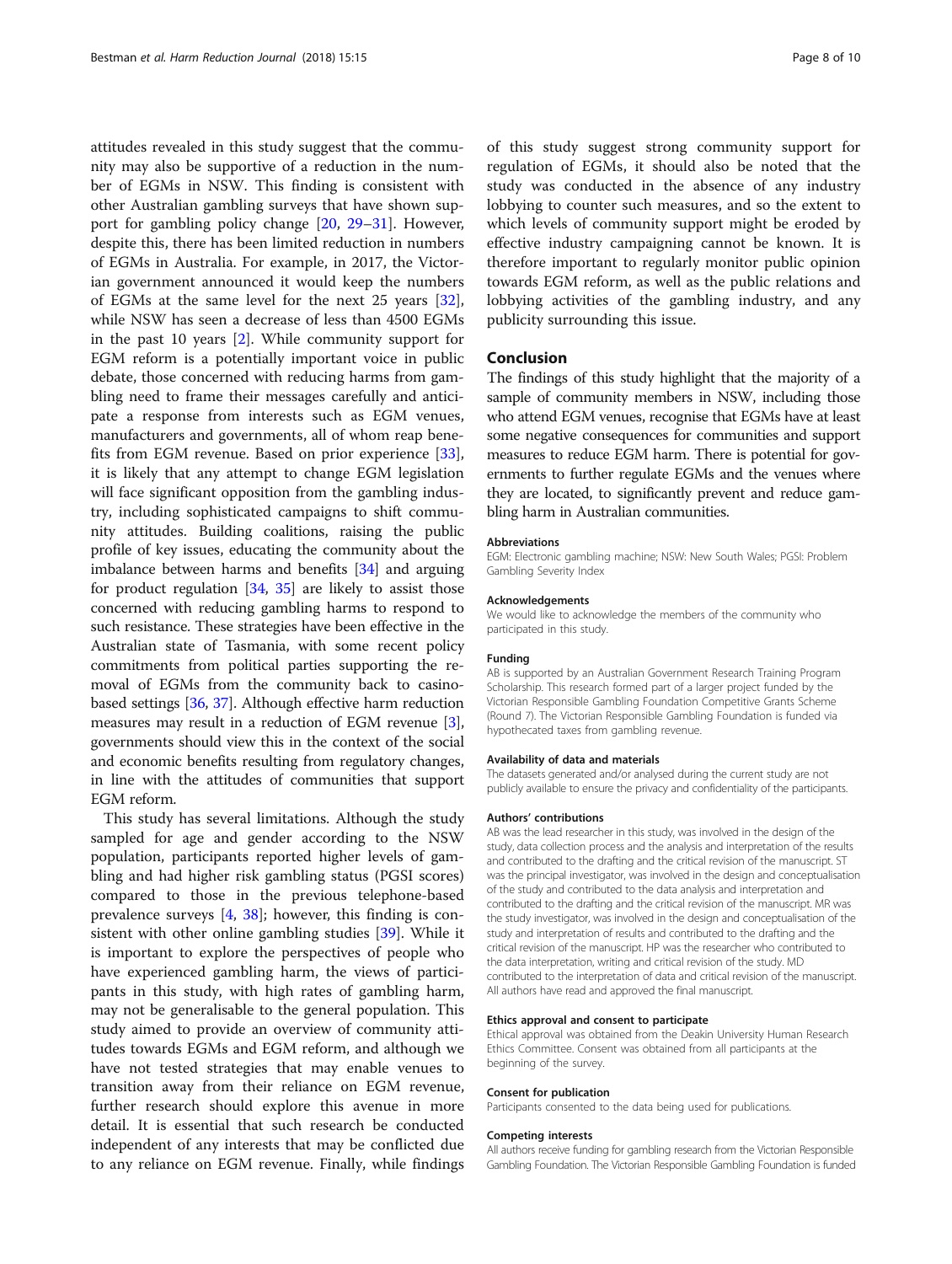attitudes revealed in this study suggest that the community may also be supportive of a reduction in the number of EGMs in NSW. This finding is consistent with other Australian gambling surveys that have shown support for gambling policy change [[20,](#page-8-0) [29](#page-8-0)–[31\]](#page-8-0). However, despite this, there has been limited reduction in numbers of EGMs in Australia. For example, in 2017, the Victorian government announced it would keep the numbers of EGMs at the same level for the next 25 years [\[32](#page-8-0)], while NSW has seen a decrease of less than 4500 EGMs in the past 10 years [[2\]](#page-8-0). While community support for EGM reform is a potentially important voice in public debate, those concerned with reducing harms from gambling need to frame their messages carefully and anticipate a response from interests such as EGM venues, manufacturers and governments, all of whom reap benefits from EGM revenue. Based on prior experience [\[33](#page-8-0)], it is likely that any attempt to change EGM legislation will face significant opposition from the gambling industry, including sophisticated campaigns to shift community attitudes. Building coalitions, raising the public profile of key issues, educating the community about the imbalance between harms and benefits [[34](#page-8-0)] and arguing for product regulation [\[34,](#page-8-0) [35\]](#page-8-0) are likely to assist those concerned with reducing gambling harms to respond to such resistance. These strategies have been effective in the Australian state of Tasmania, with some recent policy commitments from political parties supporting the removal of EGMs from the community back to casinobased settings [[36](#page-8-0), [37\]](#page-8-0). Although effective harm reduction measures may result in a reduction of EGM revenue [[3](#page-8-0)], governments should view this in the context of the social and economic benefits resulting from regulatory changes, in line with the attitudes of communities that support EGM reform.

This study has several limitations. Although the study sampled for age and gender according to the NSW population, participants reported higher levels of gambling and had higher risk gambling status (PGSI scores) compared to those in the previous telephone-based prevalence surveys [\[4](#page-8-0), [38\]](#page-9-0); however, this finding is consistent with other online gambling studies [[39\]](#page-9-0). While it is important to explore the perspectives of people who have experienced gambling harm, the views of participants in this study, with high rates of gambling harm, may not be generalisable to the general population. This study aimed to provide an overview of community attitudes towards EGMs and EGM reform, and although we have not tested strategies that may enable venues to transition away from their reliance on EGM revenue, further research should explore this avenue in more detail. It is essential that such research be conducted independent of any interests that may be conflicted due to any reliance on EGM revenue. Finally, while findings

of this study suggest strong community support for regulation of EGMs, it should also be noted that the study was conducted in the absence of any industry lobbying to counter such measures, and so the extent to which levels of community support might be eroded by effective industry campaigning cannot be known. It is therefore important to regularly monitor public opinion towards EGM reform, as well as the public relations and lobbying activities of the gambling industry, and any publicity surrounding this issue.

### Conclusion

The findings of this study highlight that the majority of a sample of community members in NSW, including those who attend EGM venues, recognise that EGMs have at least some negative consequences for communities and support measures to reduce EGM harm. There is potential for governments to further regulate EGMs and the venues where they are located, to significantly prevent and reduce gambling harm in Australian communities.

#### Abbreviations

EGM: Electronic gambling machine; NSW: New South Wales; PGSI: Problem Gambling Severity Index

#### Acknowledgements

We would like to acknowledge the members of the community who participated in this study.

#### Funding

AB is supported by an Australian Government Research Training Program Scholarship. This research formed part of a larger project funded by the Victorian Responsible Gambling Foundation Competitive Grants Scheme (Round 7). The Victorian Responsible Gambling Foundation is funded via hypothecated taxes from gambling revenue.

#### Availability of data and materials

The datasets generated and/or analysed during the current study are not publicly available to ensure the privacy and confidentiality of the participants.

#### Authors' contributions

AB was the lead researcher in this study, was involved in the design of the study, data collection process and the analysis and interpretation of the results and contributed to the drafting and the critical revision of the manuscript. ST was the principal investigator, was involved in the design and conceptualisation of the study and contributed to the data analysis and interpretation and contributed to the drafting and the critical revision of the manuscript. MR was the study investigator, was involved in the design and conceptualisation of the study and interpretation of results and contributed to the drafting and the critical revision of the manuscript. HP was the researcher who contributed to the data interpretation, writing and critical revision of the study. MD contributed to the interpretation of data and critical revision of the manuscript. All authors have read and approved the final manuscript.

#### Ethics approval and consent to participate

Ethical approval was obtained from the Deakin University Human Research Ethics Committee. Consent was obtained from all participants at the beginning of the survey.

#### Consent for publication

Participants consented to the data being used for publications.

#### Competing interests

All authors receive funding for gambling research from the Victorian Responsible Gambling Foundation. The Victorian Responsible Gambling Foundation is funded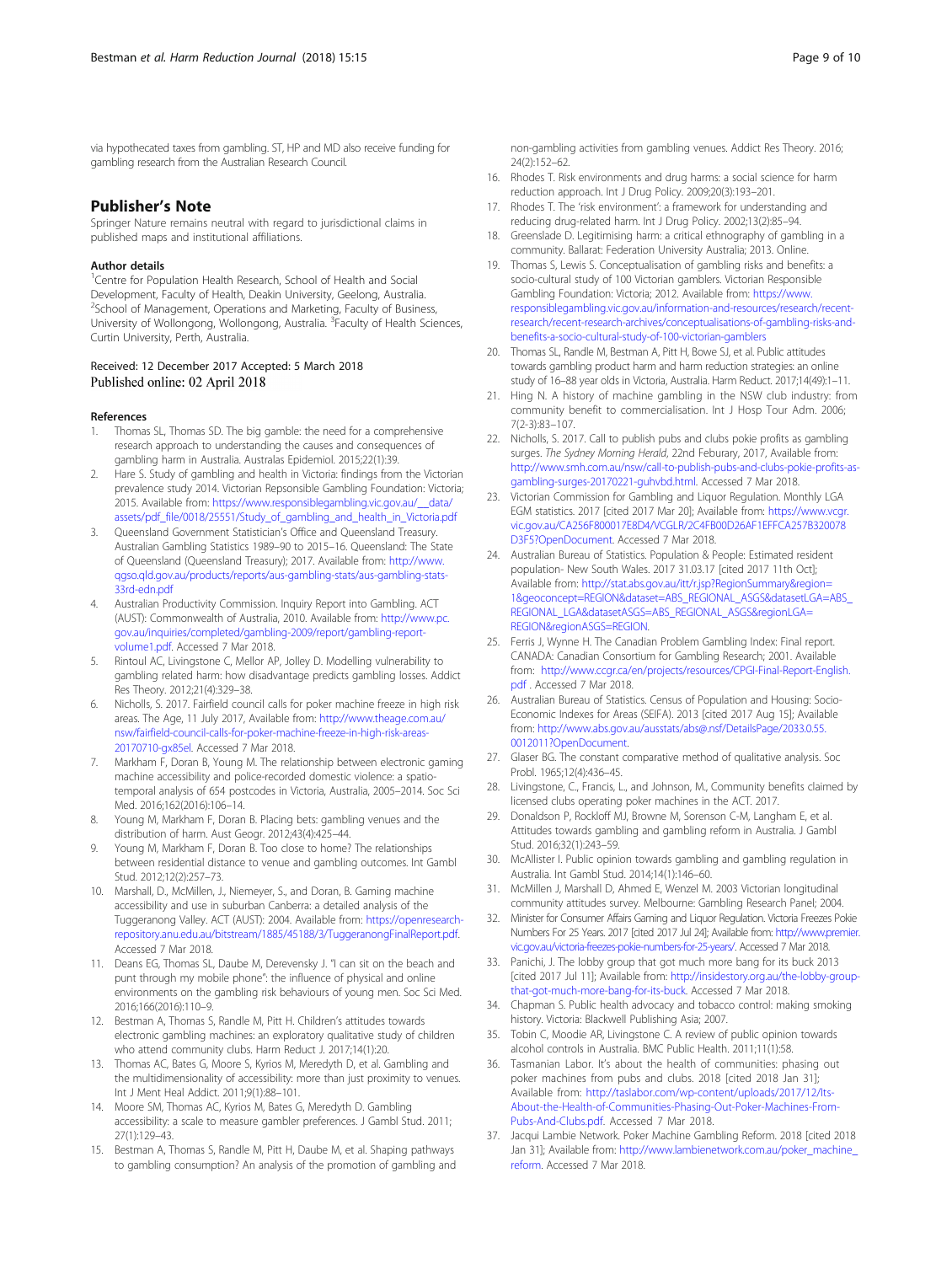<span id="page-8-0"></span>via hypothecated taxes from gambling. ST, HP and MD also receive funding for gambling research from the Australian Research Council.

## Publisher's Note

Springer Nature remains neutral with regard to jurisdictional claims in published maps and institutional affiliations.

#### Author details

<sup>1</sup> Centre for Population Health Research, School of Health and Social Development, Faculty of Health, Deakin University, Geelong, Australia. <sup>2</sup>School of Management, Operations and Marketing, Faculty of Business, University of Wollongong, Wollongong, Australia. <sup>3</sup> Faculty of Health Sciences, Curtin University, Perth, Australia.

### Received: 12 December 2017 Accepted: 5 March 2018 Published online: 02 April 2018

#### References

- 1. Thomas SL, Thomas SD. The big gamble: the need for a comprehensive research approach to understanding the causes and consequences of gambling harm in Australia. Australas Epidemiol. 2015;22(1):39.
- 2. Hare S. Study of gambling and health in Victoria: findings from the Victorian prevalence study 2014. Victorian Repsonsible Gambling Foundation: Victoria; 2015. Available from: [https://www.responsiblegambling.vic.gov.au/\\_\\_data/](https://www.responsiblegambling.vic.gov.au/__data/assets/pdf_file/0018/25551/Study_of_gambling_and_health_in_Victoria.pdf) [assets/pdf\\_file/0018/25551/Study\\_of\\_gambling\\_and\\_health\\_in\\_Victoria.pdf](https://www.responsiblegambling.vic.gov.au/__data/assets/pdf_file/0018/25551/Study_of_gambling_and_health_in_Victoria.pdf)
- Queensland Government Statistician's Office and Queensland Treasury. Australian Gambling Statistics 1989–90 to 2015–16. Queensland: The State of Queensland (Queensland Treasury); 2017. Available from: [http://www.](http://www.qgso.qld.gov.au/products/reports/aus-gambling-stats/aus-gambling-stats-33rd-edn.pdf) [qgso.qld.gov.au/products/reports/aus-gambling-stats/aus-gambling-stats-](http://www.qgso.qld.gov.au/products/reports/aus-gambling-stats/aus-gambling-stats-33rd-edn.pdf)[33rd-edn.pdf](http://www.qgso.qld.gov.au/products/reports/aus-gambling-stats/aus-gambling-stats-33rd-edn.pdf)
- 4. Australian Productivity Commission. Inquiry Report into Gambling. ACT (AUST): Commonwealth of Australia, 2010. Available from: [http://www.pc.](http://www.pc.gov.au/inquiries/completed/gambling-2009/report/gambling-report-volume1.pdf) [gov.au/inquiries/completed/gambling-2009/report/gambling-report](http://www.pc.gov.au/inquiries/completed/gambling-2009/report/gambling-report-volume1.pdf)[volume1.pdf](http://www.pc.gov.au/inquiries/completed/gambling-2009/report/gambling-report-volume1.pdf). Accessed 7 Mar 2018.
- 5. Rintoul AC, Livingstone C, Mellor AP, Jolley D. Modelling vulnerability to gambling related harm: how disadvantage predicts gambling losses. Addict Res Theory. 2012;21(4):329–38.
- 6. Nicholls, S. 2017. Fairfield council calls for poker machine freeze in high risk areas. The Age, 11 July 2017, Available from: [http://www.theage.com.au/](http://www.theage.com.au/nsw/fairfield-council-calls-for-poker-machine-freeze-in-high-risk-areas-20170710-gx85el) [nsw/fairfield-council-calls-for-poker-machine-freeze-in-high-risk-areas-](http://www.theage.com.au/nsw/fairfield-council-calls-for-poker-machine-freeze-in-high-risk-areas-20170710-gx85el)[20170710-gx85el.](http://www.theage.com.au/nsw/fairfield-council-calls-for-poker-machine-freeze-in-high-risk-areas-20170710-gx85el) Accessed 7 Mar 2018.
- 7. Markham F, Doran B, Young M. The relationship between electronic gaming machine accessibility and police-recorded domestic violence: a spatiotemporal analysis of 654 postcodes in Victoria, Australia, 2005–2014. Soc Sci Med. 2016;162(2016):106–14.
- Young M, Markham F, Doran B. Placing bets: gambling venues and the distribution of harm. Aust Geogr. 2012;43(4):425–44.
- Young M, Markham F, Doran B. Too close to home? The relationships between residential distance to venue and gambling outcomes. Int Gambl Stud. 2012;12(2):257–73.
- 10. Marshall, D., McMillen, J., Niemeyer, S., and Doran, B. Gaming machine accessibility and use in suburban Canberra: a detailed analysis of the Tuggeranong Valley. ACT (AUST): 2004. Available from: [https://openresearch](https://openresearch-repository.anu.edu.au/bitstream/1885/45188/3/TuggeranongFinalReport.pdf)[repository.anu.edu.au/bitstream/1885/45188/3/TuggeranongFinalReport.pdf.](https://openresearch-repository.anu.edu.au/bitstream/1885/45188/3/TuggeranongFinalReport.pdf) Accessed 7 Mar 2018.
- 11. Deans EG, Thomas SL, Daube M, Derevensky J. "I can sit on the beach and punt through my mobile phone": the influence of physical and online environments on the gambling risk behaviours of young men. Soc Sci Med. 2016;166(2016):110–9.
- 12. Bestman A, Thomas S, Randle M, Pitt H. Children's attitudes towards electronic gambling machines: an exploratory qualitative study of children who attend community clubs. Harm Reduct J. 2017;14(1):20.
- 13. Thomas AC, Bates G, Moore S, Kyrios M, Meredyth D, et al. Gambling and the multidimensionality of accessibility: more than just proximity to venues. Int J Ment Heal Addict. 2011;9(1):88–101.
- 14. Moore SM, Thomas AC, Kyrios M, Bates G, Meredyth D. Gambling accessibility: a scale to measure gambler preferences. J Gambl Stud. 2011; 27(1):129–43.
- 15. Bestman A, Thomas S, Randle M, Pitt H, Daube M, et al. Shaping pathways to gambling consumption? An analysis of the promotion of gambling and

non-gambling activities from gambling venues. Addict Res Theory. 2016; 24(2):152–62.

- 16. Rhodes T. Risk environments and drug harms: a social science for harm reduction approach. Int J Drug Policy. 2009;20(3):193–201.
- 17. Rhodes T. The 'risk environment': a framework for understanding and reducing drug-related harm. Int J Drug Policy. 2002;13(2):85–94.
- 18. Greenslade D. Legitimising harm: a critical ethnography of gambling in a community. Ballarat: Federation University Australia; 2013. Online.
- 19. Thomas S, Lewis S. Conceptualisation of gambling risks and benefits: a socio-cultural study of 100 Victorian gamblers. Victorian Responsible Gambling Foundation: Victoria; 2012. Available from: [https://www.](https://www.responsiblegambling.vic.gov.au/information-and-resources/research/recent-research/recent-research-archives/conceptualisations-of-gambling-risks-and-benefits-a-socio-cultural-study-of-100-victorian-gamblers) [responsiblegambling.vic.gov.au/information-and-resources/research/recent](https://www.responsiblegambling.vic.gov.au/information-and-resources/research/recent-research/recent-research-archives/conceptualisations-of-gambling-risks-and-benefits-a-socio-cultural-study-of-100-victorian-gamblers)[research/recent-research-archives/conceptualisations-of-gambling-risks-and](https://www.responsiblegambling.vic.gov.au/information-and-resources/research/recent-research/recent-research-archives/conceptualisations-of-gambling-risks-and-benefits-a-socio-cultural-study-of-100-victorian-gamblers)[benefits-a-socio-cultural-study-of-100-victorian-gamblers](https://www.responsiblegambling.vic.gov.au/information-and-resources/research/recent-research/recent-research-archives/conceptualisations-of-gambling-risks-and-benefits-a-socio-cultural-study-of-100-victorian-gamblers)
- 20. Thomas SL, Randle M, Bestman A, Pitt H, Bowe SJ, et al. Public attitudes towards gambling product harm and harm reduction strategies: an online study of 16–88 year olds in Victoria, Australia. Harm Reduct. 2017;14(49):1–11.
- 21. Hing N. A history of machine gambling in the NSW club industry: from community benefit to commercialisation. Int J Hosp Tour Adm. 2006; 7(2-3):83–107.
- 22. Nicholls, S. 2017. Call to publish pubs and clubs pokie profits as gambling surges. The Sydney Morning Herald, 22nd Feburary, 2017, Available from: [http://www.smh.com.au/nsw/call-to-publish-pubs-and-clubs-pokie-profits-as](http://www.smh.com.au/nsw/call-to-publish-pubs-and-clubs-pokie-profits-as-gambling-surges-20170221-guhvbd.html)[gambling-surges-20170221-guhvbd.html](http://www.smh.com.au/nsw/call-to-publish-pubs-and-clubs-pokie-profits-as-gambling-surges-20170221-guhvbd.html). Accessed 7 Mar 2018.
- 23. Victorian Commission for Gambling and Liquor Regulation. Monthly LGA EGM statistics. 2017 [cited 2017 Mar 20]; Available from: [https://www.vcgr.](https://www.vcgr.vic.gov.au/CA256F800017E8D4/VCGLR/2C4FB00D26AF1EFFCA257B320078D3F5?OpenDocument) [vic.gov.au/CA256F800017E8D4/VCGLR/2C4FB00D26AF1EFFCA257B320078](https://www.vcgr.vic.gov.au/CA256F800017E8D4/VCGLR/2C4FB00D26AF1EFFCA257B320078D3F5?OpenDocument) [D3F5?OpenDocument](https://www.vcgr.vic.gov.au/CA256F800017E8D4/VCGLR/2C4FB00D26AF1EFFCA257B320078D3F5?OpenDocument). Accessed 7 Mar 2018.
- 24. Australian Bureau of Statistics. Population & People: Estimated resident population- New South Wales. 2017 31.03.17 [cited 2017 11th Oct]; Available from: [http://stat.abs.gov.au/itt/r.jsp?RegionSummary&region=](http://stat.abs.gov.au/itt/r.jsp?RegionSummary®ion=1&geoconcept=REGION&dataset=ABS_REGIONAL_ASGS&datasetLGA=ABS_REGIONAL_LGA&datasetASGS=ABS_REGIONAL_ASGS®ionLGA=REGION®ionASGS=REGION) [1&geoconcept=REGION&dataset=ABS\\_REGIONAL\\_ASGS&datasetLGA=ABS\\_](http://stat.abs.gov.au/itt/r.jsp?RegionSummary®ion=1&geoconcept=REGION&dataset=ABS_REGIONAL_ASGS&datasetLGA=ABS_REGIONAL_LGA&datasetASGS=ABS_REGIONAL_ASGS®ionLGA=REGION®ionASGS=REGION) [REGIONAL\\_LGA&datasetASGS=ABS\\_REGIONAL\\_ASGS&regionLGA=](http://stat.abs.gov.au/itt/r.jsp?RegionSummary®ion=1&geoconcept=REGION&dataset=ABS_REGIONAL_ASGS&datasetLGA=ABS_REGIONAL_LGA&datasetASGS=ABS_REGIONAL_ASGS®ionLGA=REGION®ionASGS=REGION) [REGION&regionASGS=REGION](http://stat.abs.gov.au/itt/r.jsp?RegionSummary®ion=1&geoconcept=REGION&dataset=ABS_REGIONAL_ASGS&datasetLGA=ABS_REGIONAL_LGA&datasetASGS=ABS_REGIONAL_ASGS®ionLGA=REGION®ionASGS=REGION).
- 25. Ferris J, Wynne H. The Canadian Problem Gambling Index: Final report. CANADA: Canadian Consortium for Gambling Research; 2001. Available from: [http://www.ccgr.ca/en/projects/resources/CPGI-Final-Report-English.](http://www.ccgr.ca/en/projects/resources/CPGI-Final-Report-English.pdf) [pdf](http://www.ccgr.ca/en/projects/resources/CPGI-Final-Report-English.pdf) . Accessed 7 Mar 2018.
- 26. Australian Bureau of Statistics. Census of Population and Housing: Socio-Economic Indexes for Areas (SEIFA). 2013 [cited 2017 Aug 15]; Available from: [http://www.abs.gov.au/ausstats/abs@.nsf/DetailsPage/2033.0.55.](http://www.abs.gov.au/ausstats/abs@.nsf/DetailsPage/2033.0.55.0012011?OpenDocument) [0012011?OpenDocument](http://www.abs.gov.au/ausstats/abs@.nsf/DetailsPage/2033.0.55.0012011?OpenDocument).
- 27. Glaser BG. The constant comparative method of qualitative analysis. Soc Probl. 1965;12(4):436–45.
- 28. Livingstone, C., Francis, L., and Johnson, M., Community benefits claimed by licensed clubs operating poker machines in the ACT. 2017.
- 29. Donaldson P, Rockloff MJ, Browne M, Sorenson C-M, Langham E, et al. Attitudes towards gambling and gambling reform in Australia. J Gambl Stud. 2016;32(1):243–59.
- 30. McAllister I. Public opinion towards gambling and gambling regulation in Australia. Int Gambl Stud. 2014;14(1):146–60.
- 31. McMillen J, Marshall D, Ahmed E, Wenzel M. 2003 Victorian longitudinal community attitudes survey. Melbourne: Gambling Research Panel; 2004.
- 32. Minister for Consumer Affairs Gaming and Liquor Regulation. Victoria Freezes Pokie Numbers For 25 Years. 2017 [cited 2017 Jul 24]; Available from: [http://www.premier.](http://www.premier.vic.gov.au/victoria-freezes-pokie-numbers-for-25-years/) [vic.gov.au/victoria-freezes-pokie-numbers-for-25-years/.](http://www.premier.vic.gov.au/victoria-freezes-pokie-numbers-for-25-years/) Accessed 7 Mar 2018.
- 33. Panichi, J. The lobby group that got much more bang for its buck 2013 [cited 2017 Jul 11]; Available from: [http://insidestory.org.au/the-lobby-group](http://insidestory.org.au/the-lobby-group-that-got-much-more-bang-for-its-buck)[that-got-much-more-bang-for-its-buck](http://insidestory.org.au/the-lobby-group-that-got-much-more-bang-for-its-buck). Accessed 7 Mar 2018.
- 34. Chapman S. Public health advocacy and tobacco control: making smoking history. Victoria: Blackwell Publishing Asia; 2007.
- 35. Tobin C, Moodie AR, Livingstone C. A review of public opinion towards alcohol controls in Australia. BMC Public Health. 2011;11(1):58.
- 36. Tasmanian Labor. It's about the health of communities: phasing out poker machines from pubs and clubs. 2018 [cited 2018 Jan 31]; Available from: [http://taslabor.com/wp-content/uploads/2017/12/Its-](http://taslabor.com/wp-content/uploads/2017/12/Its-About-the-Health-of-Communities-Phasing-Out-Poker-Machines-From-Pubs-And-Clubs.pdf)[About-the-Health-of-Communities-Phasing-Out-Poker-Machines-From-](http://taslabor.com/wp-content/uploads/2017/12/Its-About-the-Health-of-Communities-Phasing-Out-Poker-Machines-From-Pubs-And-Clubs.pdf)[Pubs-And-Clubs.pdf](http://taslabor.com/wp-content/uploads/2017/12/Its-About-the-Health-of-Communities-Phasing-Out-Poker-Machines-From-Pubs-And-Clubs.pdf). Accessed 7 Mar 2018.
- 37. Jacqui Lambie Network. Poker Machine Gambling Reform. 2018 [cited 2018 Jan 31]; Available from: [http://www.lambienetwork.com.au/poker\\_machine\\_](http://www.lambienetwork.com.au/poker_machine_reform) [reform.](http://www.lambienetwork.com.au/poker_machine_reform) Accessed 7 Mar 2018.